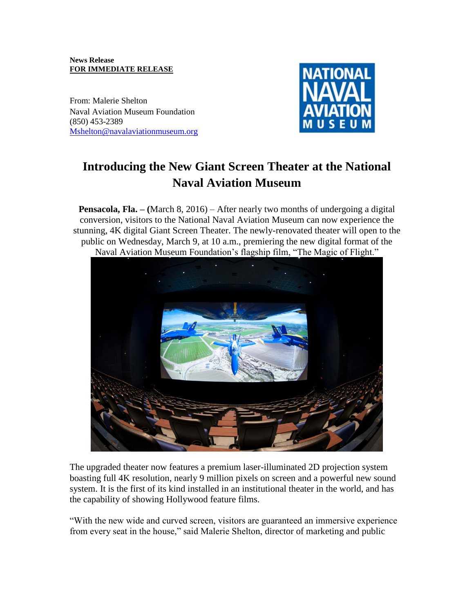### **News Release FOR IMMEDIATE RELEASE**

From: Malerie Shelton Naval Aviation Museum Foundation (850) 453-2389 [Mshelton@navalaviationmuseum.org](mailto:Mshelton@navalaviationmuseum.org)



# **Introducing the New Giant Screen Theater at the National Naval Aviation Museum**

**Pensacola, Fla. – (**March 8, 2016) – After nearly two months of undergoing a digital conversion, visitors to the National Naval Aviation Museum can now experience the stunning, 4K digital Giant Screen Theater. The newly-renovated theater will open to the public on Wednesday, March 9, at 10 a.m., premiering the new digital format of the Naval Aviation Museum Foundation's flagship film, "The Magic of Flight."



The upgraded theater now features a premium laser-illuminated 2D projection system boasting full 4K resolution, nearly 9 million pixels on screen and a powerful new sound system. It is the first of its kind installed in an institutional theater in the world, and has the capability of showing Hollywood feature films.

"With the new wide and curved screen, visitors are guaranteed an immersive experience from every seat in the house," said Malerie Shelton, director of marketing and public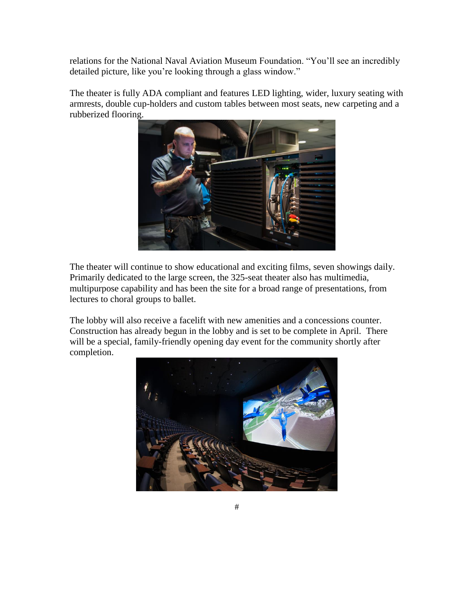relations for the National Naval Aviation Museum Foundation. "You'll see an incredibly detailed picture, like you're looking through a glass window."

The theater is fully ADA compliant and features LED lighting, wider, luxury seating with armrests, double cup-holders and custom tables between most seats, new carpeting and a rubberized flooring.



The theater will continue to show educational and exciting films, seven showings daily. Primarily dedicated to the large screen, the 325-seat theater also has multimedia, multipurpose capability and has been the site for a broad range of presentations, from lectures to choral groups to ballet.

The lobby will also receive a facelift with new amenities and a concessions counter. Construction has already begun in the lobby and is set to be complete in April. There will be a special, family-friendly opening day event for the community shortly after completion.